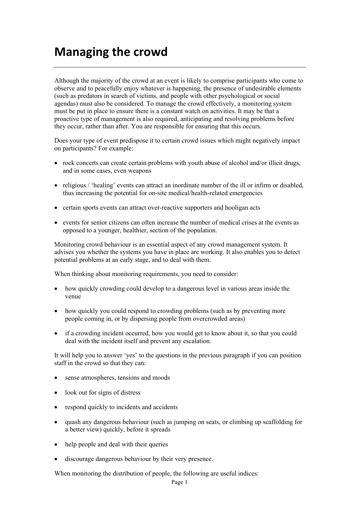## **Managing the crowd**

Although the majority of the crowd at an event is likely to comprise participants who come to observe and to peacefully enjoy whatever is happening, the presence of undesirable elements (such as predators in search of victims, and people with other psychological or social agendas) must also be considered. To manage the crowd effectively, a monitoring system must be put in place to ensure there is a constant watch on activities. It may be that a proactive type of management is also required, anticipating and resolving problems before they occur, rather than after. You are responsible for ensuring that this occurs.

Does your type of event predispose it to certain crowd issues which might negatively impact on participants? For example:

- rock concerts can create certain problems with youth abuse of alcohol and/or illicit drugs, and in some cases, even weapons
- religious / 'healing' events can attract an inordinate number of the ill or infirm or disabled, thus increasing the potential for on-site medical/health-related emergencies
- certain sports events can attract over-reactive supporters and hooligan acts
- events for senior citizens can often increase the number of medical crises at the events as opposed to a younger, healthier, section of the population.

Monitoring crowd behaviour is an essential aspect of any crowd management system. It advises you whether the systems you have in place are working. It also enables you to detect potential problems at an early stage, and to deal with them.

When thinking about monitoring requirements, you need to consider:

- how quickly crowding could develop to a dangerous level in various areas inside the venue
- how quickly you could respond to crowding problems (such as by preventing more people coming in, or by dispersing people from overcrowded areas)
- if a crowding incident occurred, how you would get to know about it, so that you could deal with the incident itself and prevent any escalation.

It will help you to answer 'yes' to the questions in the previous paragraph if you can position staff in the crowd so that they can:

- sense atmospheres, tensions and moods
- look out for signs of distress
- respond quickly to incidents and accidents
- quash any dangerous behaviour (such as jumping on seats, or climbing up scaffolding for a better view) quickly, before it spreads
- help people and deal with their queries
- discourage dangerous behaviour by their very presence.

When monitoring the distribution of people, the following are useful indices: